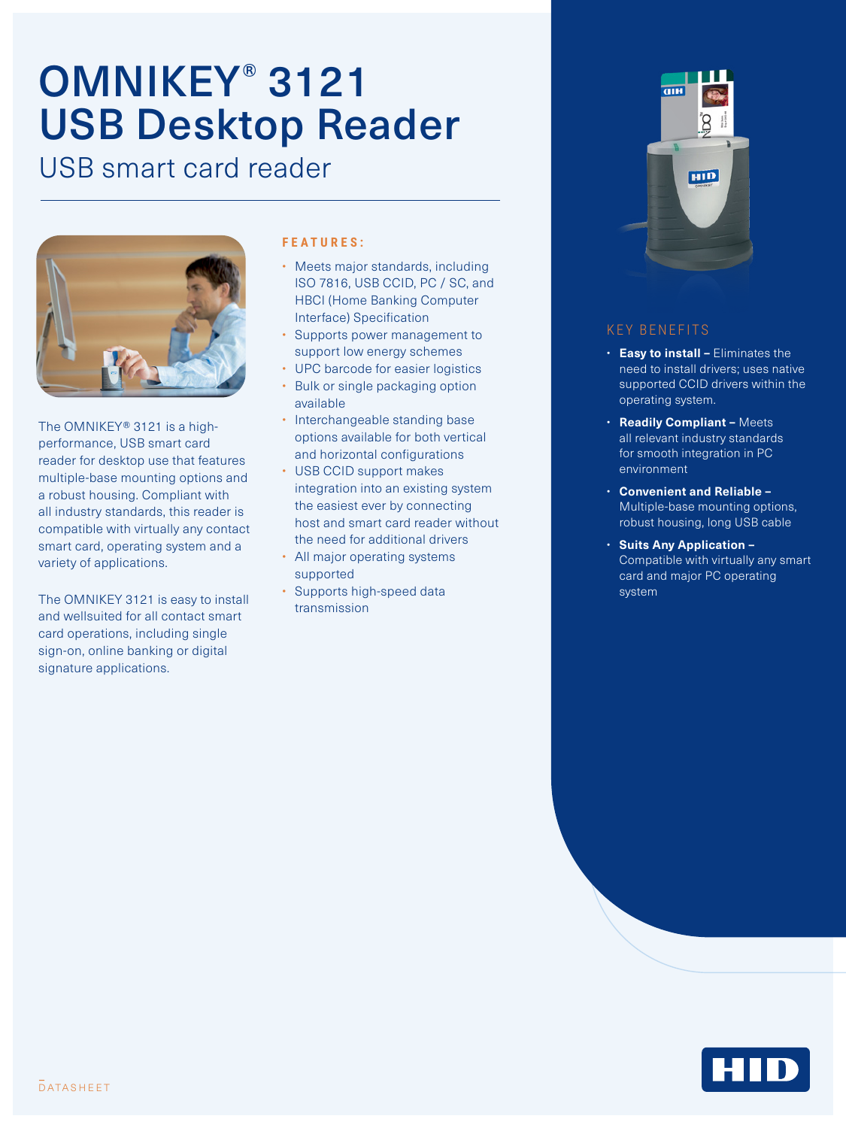# OMNIKEY® 3121 USB Desktop Reader

USB smart card reader



The OMNIKEY® 3121 is a highperformance, USB smart card reader for desktop use that features multiple-base mounting options and a robust housing. Compliant with all industry standards, this reader is compatible with virtually any contact smart card, operating system and a variety of applications.

The OMNIKEY 3121 is easy to install and wellsuited for all contact smart card operations, including single sign-on, online banking or digital signature applications.

#### **FEATURES:**

- Meets major standards, including ISO 7816, USB CCID, PC / SC, and HBCI (Home Banking Computer Interface) Specification
- Supports power management to support low energy schemes
- UPC barcode for easier logistics
- Bulk or single packaging option available
- Interchangeable standing base options available for both vertical and horizontal configurations
- USB CCID support makes integration into an existing system the easiest ever by connecting host and smart card reader without the need for additional drivers
- All major operating systems supported
- Supports high-speed data transmission



### KEY BENEFITS

- **Easy to install –** Eliminates the need to install drivers; uses native supported CCID drivers within the operating system.
- **Readily Compliant –** Meets all relevant industry standards for smooth integration in PC environment
- **Convenient and Reliable –** Multiple-base mounting options, robust housing, long USB cable
- **Suits Any Application**  Compatible with virtually any smart card and major PC operating system